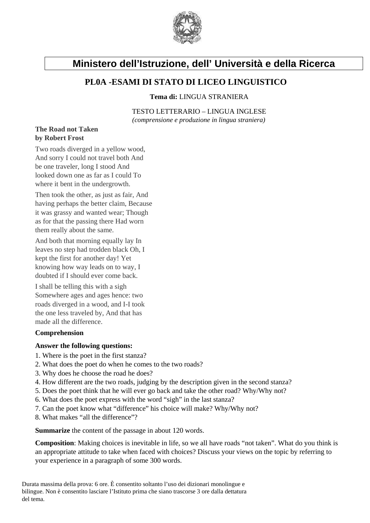

# **Ministero dell'Istruzione, dell' Università e della Ricerca**

## **PL0A -ESAMI DI STATO DI LICEO LINGUISTICO**

#### **Tema di:** LINGUA STRANIERA

TESTO LETTERARIO – LINGUA INGLESE *(comprensione e produzione in lingua straniera)* 

### **The Road not Taken by Robert Frost**

Two roads diverged in a yellow wood, And sorry I could not travel both And be one traveler, long I stood And looked down one as far as I could To where it bent in the undergrowth.

Then took the other, as just as fair, And having perhaps the better claim, Because it was grassy and wanted wear; Though as for that the passing there Had worn them really about the same.

And both that morning equally lay In leaves no step had trodden black Oh, I kept the first for another day! Yet knowing how way leads on to way, I doubted if I should ever come back.

I shall be telling this with a sigh Somewhere ages and ages hence: two roads diverged in a wood, and I-I took the one less traveled by, And that has made all the difference.

### **Comprehension**

#### **Answer the following questions:**

- 1. Where is the poet in the first stanza?
- 2. What does the poet do when he comes to the two roads?
- 3. Why does he choose the road he does?
- 4. How different are the two roads, judging by the description given in the second stanza?
- 5. Does the poet think that he will ever go back and take the other road? Why/Why not?
- 6. What does the poet express with the word "sigh" in the last stanza?
- 7. Can the poet know what "difference" his choice will make? Why/Why not?
- 8. What makes "all the difference"?

**Summarize** the content of the passage in about 120 words.

**Composition**: Making choices is inevitable in life, so we all have roads "not taken". What do you think is an appropriate attitude to take when faced with choices? Discuss your views on the topic by referring to your experience in a paragraph of some 300 words.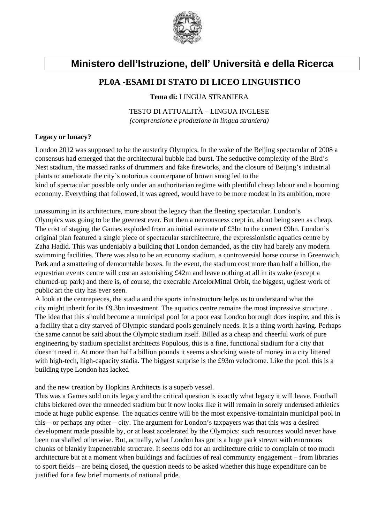

# **Ministero dell'Istruzione, dell' Università e della Ricerca**

## **PL0A -ESAMI DI STATO DI LICEO LINGUISTICO**

**Tema di:** LINGUA STRANIERA

TESTO DI ATTUALITÀ – LINGUA INGLESE *(comprensione e produzione in lingua straniera)* 

### **Legacy or lunacy?**

London 2012 was supposed to be the austerity Olympics. In the wake of the Beijing spectacular of 2008 a consensus had emerged that the architectural bubble had burst. The seductive complexity of the Bird's Nest stadium, the massed ranks of drummers and fake fireworks, and the closure of Beijing's industrial plants to ameliorate the city's notorious counterpane of brown smog led to the kind of spectacular possible only under an authoritarian regime with plentiful cheap labour and a booming economy. Everything that followed, it was agreed, would have to be more modest in its ambition, more

unassuming in its architecture, more about the legacy than the fleeting spectacular. London's Olympics was going to be the greenest ever. But then a nervousness crept in, about being seen as cheap. The cost of staging the Games exploded from an initial estimate of £3bn to the current £9bn. London's original plan featured a single piece of spectacular starchitecture, the expressionistic aquatics centre by Zaha Hadid. This was undeniably a building that London demanded, as the city had barely any modern swimming facilities. There was also to be an economy stadium, a controversial horse course in Greenwich Park and a smattering of demountable boxes. In the event, the stadium cost more than half a billion, the equestrian events centre will cost an astonishing £42m and leave nothing at all in its wake (except a churned-up park) and there is, of course, the execrable ArcelorMittal Orbit, the biggest, ugliest work of public art the city has ever seen.

A look at the centrepieces, the stadia and the sports infrastructure helps us to understand what the city might inherit for its £9.3bn investment. The aquatics centre remains the most impressive structure. . The idea that this should become a municipal pool for a poor east London borough does inspire, and this is a facility that a city starved of Olympic-standard pools genuinely needs. It is a thing worth having. Perhaps the same cannot be said about the Olympic stadium itself. Billed as a cheap and cheerful work of pure engineering by stadium specialist architects Populous, this is a fine, functional stadium for a city that doesn't need it. At more than half a billion pounds it seems a shocking waste of money in a city littered with high-tech, high-capacity stadia. The biggest surprise is the £93m velodrome. Like the pool, this is a building type London has lacked

and the new creation by Hopkins Architects is a superb vessel.

This was a Games sold on its legacy and the critical question is exactly what legacy it will leave. Football clubs bickered over the unneeded stadium but it now looks like it will remain in sorely underused athletics mode at huge public expense. The aquatics centre will be the most expensive-tomaintain municipal pool in this – or perhaps any other – city. The argument for London's taxpayers was that this was a desired development made possible by, or at least accelerated by the Olympics: such resources would never have been marshalled otherwise. But, actually, what London has got is a huge park strewn with enormous chunks of blankly impenetrable structure. It seems odd for an architecture critic to complain of too much architecture but at a moment when buildings and facilities of real community engagement – from libraries to sport fields – are being closed, the question needs to be asked whether this huge expenditure can be justified for a few brief moments of national pride.